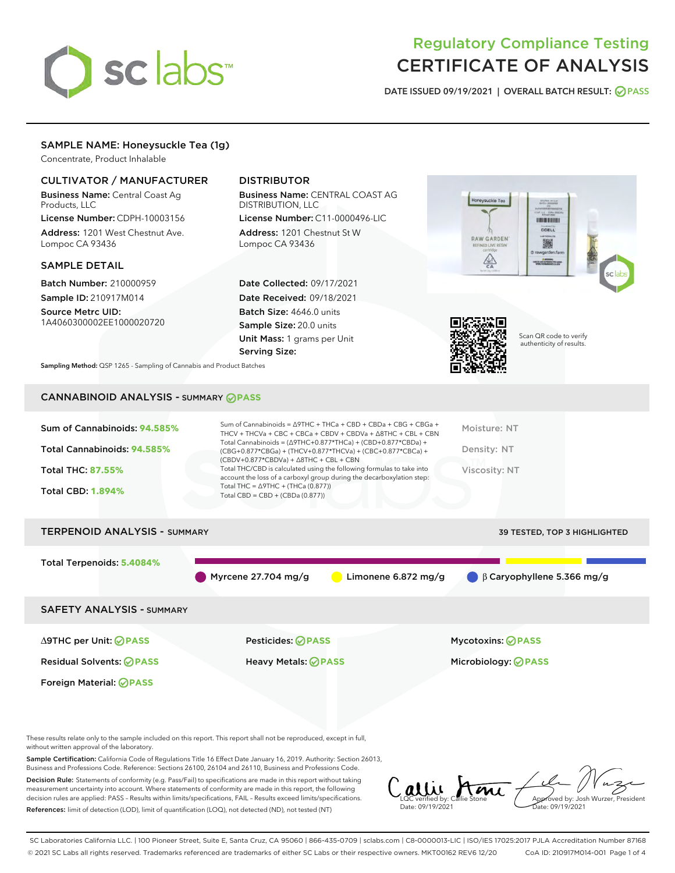# sclabs<sup>\*</sup>

# Regulatory Compliance Testing CERTIFICATE OF ANALYSIS

DATE ISSUED 09/19/2021 | OVERALL BATCH RESULT: @ PASS

# SAMPLE NAME: Honeysuckle Tea (1g)

Concentrate, Product Inhalable

# CULTIVATOR / MANUFACTURER

Business Name: Central Coast Ag Products, LLC

License Number: CDPH-10003156 Address: 1201 West Chestnut Ave. Lompoc CA 93436

## SAMPLE DETAIL

Batch Number: 210000959 Sample ID: 210917M014

Source Metrc UID: 1A4060300002EE1000020720

# DISTRIBUTOR

Business Name: CENTRAL COAST AG DISTRIBUTION, LLC License Number: C11-0000496-LIC

Address: 1201 Chestnut St W Lompoc CA 93436

Date Collected: 09/17/2021 Date Received: 09/18/2021 Batch Size: 4646.0 units Sample Size: 20.0 units Unit Mass: 1 grams per Unit Serving Size:





Scan QR code to verify authenticity of results.

Sampling Method: QSP 1265 - Sampling of Cannabis and Product Batches

# CANNABINOID ANALYSIS - SUMMARY **PASS**

| Sum of Cannabinoids: 94.585% | Sum of Cannabinoids = Δ9THC + THCa + CBD + CBDa + CBG + CBGa +<br>THCV + THCVa + CBC + CBCa + CBDV + CBDVa + $\Delta$ 8THC + CBL + CBN                                               | Moisture: NT  |
|------------------------------|--------------------------------------------------------------------------------------------------------------------------------------------------------------------------------------|---------------|
| Total Cannabinoids: 94.585%  | Total Cannabinoids = $(\Delta$ 9THC+0.877*THCa) + (CBD+0.877*CBDa) +<br>(CBG+0.877*CBGa) + (THCV+0.877*THCVa) + (CBC+0.877*CBCa) +<br>$(CBDV+0.877*CBDVa) + \Delta 8THC + CBL + CBN$ | Density: NT   |
| <b>Total THC: 87.55%</b>     | Total THC/CBD is calculated using the following formulas to take into<br>account the loss of a carboxyl group during the decarboxylation step:                                       | Viscosity: NT |
| <b>Total CBD: 1.894%</b>     | Total THC = $\triangle$ 9THC + (THCa (0.877))<br>Total CBD = $CBD + (CBDa (0.877))$                                                                                                  |               |
|                              |                                                                                                                                                                                      |               |

# TERPENOID ANALYSIS - SUMMARY 39 TESTED, TOP 3 HIGHLIGHTED Total Terpenoids: **5.4084%** Myrcene 27.704 mg/g Limonene 6.872 mg/g β Caryophyllene 5.366 mg/g SAFETY ANALYSIS - SUMMARY ∆9THC per Unit: **PASS** Pesticides: **PASS** Mycotoxins: **PASS**

Foreign Material: **PASS**

Residual Solvents: **PASS** Heavy Metals: **PASS** Microbiology: **PASS**

These results relate only to the sample included on this report. This report shall not be reproduced, except in full, without written approval of the laboratory.

Sample Certification: California Code of Regulations Title 16 Effect Date January 16, 2019. Authority: Section 26013, Business and Professions Code. Reference: Sections 26100, 26104 and 26110, Business and Professions Code.

Decision Rule: Statements of conformity (e.g. Pass/Fail) to specifications are made in this report without taking measurement uncertainty into account. Where statements of conformity are made in this report, the following decision rules are applied: PASS – Results within limits/specifications, FAIL – Results exceed limits/specifications. References: limit of detection (LOD), limit of quantification (LOQ), not detected (ND), not tested (NT)

 $C$  allie Ame Date: 09/19/2021 Approved by: Josh Wurzer, President ite: 09/19/2021

SC Laboratories California LLC. | 100 Pioneer Street, Suite E, Santa Cruz, CA 95060 | 866-435-0709 | sclabs.com | C8-0000013-LIC | ISO/IES 17025:2017 PJLA Accreditation Number 87168 © 2021 SC Labs all rights reserved. Trademarks referenced are trademarks of either SC Labs or their respective owners. MKT00162 REV6 12/20 CoA ID: 210917M014-001 Page 1 of 4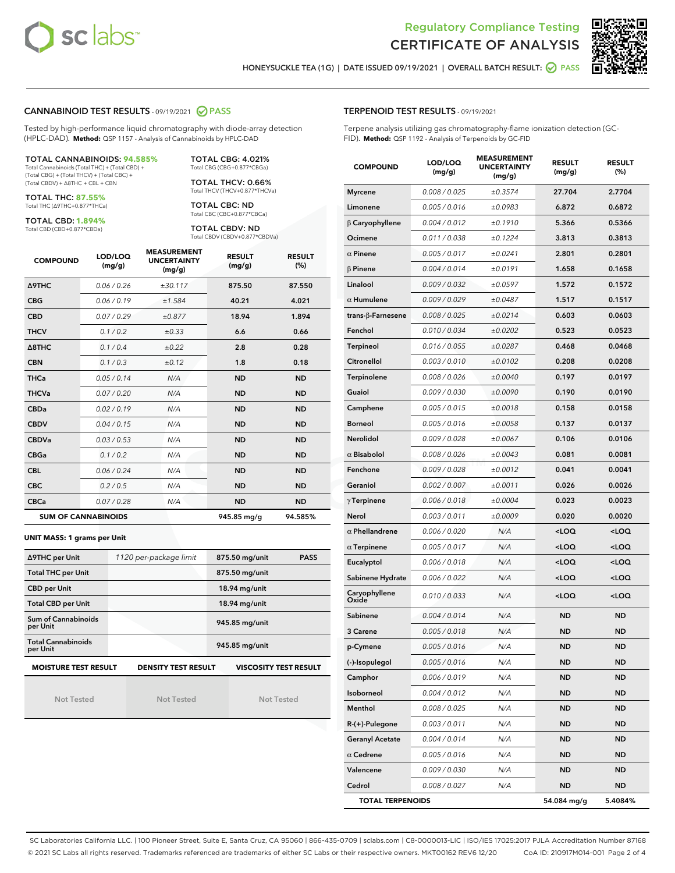



HONEYSUCKLE TEA (1G) | DATE ISSUED 09/19/2021 | OVERALL BATCH RESULT: **O PASS** 

#### CANNABINOID TEST RESULTS - 09/19/2021 2 PASS

Tested by high-performance liquid chromatography with diode-array detection (HPLC-DAD). **Method:** QSP 1157 - Analysis of Cannabinoids by HPLC-DAD

#### TOTAL CANNABINOIDS: **94.585%**

Total Cannabinoids (Total THC) + (Total CBD) + (Total CBG) + (Total THCV) + (Total CBC) + (Total CBDV) + ∆8THC + CBL + CBN

TOTAL THC: **87.55%** Total THC (∆9THC+0.877\*THCa)

TOTAL CBD: **1.894%**

Total CBD (CBD+0.877\*CBDa)

TOTAL CBG: 4.021% Total CBG (CBG+0.877\*CBGa)

TOTAL THCV: 0.66% Total THCV (THCV+0.877\*THCVa)

TOTAL CBC: ND Total CBC (CBC+0.877\*CBCa)

TOTAL CBDV: ND Total CBDV (CBDV+0.877\*CBDVa)

| <b>COMPOUND</b>  | LOD/LOQ<br>(mg/g)          | <b>MEASUREMENT</b><br><b>UNCERTAINTY</b><br>(mg/g) | <b>RESULT</b><br>(mg/g) | <b>RESULT</b><br>(%) |
|------------------|----------------------------|----------------------------------------------------|-------------------------|----------------------|
| <b>A9THC</b>     | 0.06 / 0.26                | ±30.117                                            | 875.50                  | 87.550               |
| <b>CBG</b>       | 0.06/0.19                  | ±1.584                                             | 40.21                   | 4.021                |
| <b>CBD</b>       | 0.07/0.29                  | ±0.877                                             | 18.94                   | 1.894                |
| <b>THCV</b>      | 0.1/0.2                    | ±0.33                                              | 6.6                     | 0.66                 |
| $\triangle$ 8THC | 0.1/0.4                    | ±0.22                                              | 2.8                     | 0.28                 |
| <b>CBN</b>       | 0.1 / 0.3                  | ±0.12                                              | 1.8                     | 0.18                 |
| <b>THCa</b>      | 0.05/0.14                  | N/A                                                | <b>ND</b>               | <b>ND</b>            |
| <b>THCVa</b>     | 0.07/0.20                  | N/A                                                | <b>ND</b>               | <b>ND</b>            |
| <b>CBDa</b>      | 0.02/0.19                  | N/A                                                | <b>ND</b>               | <b>ND</b>            |
| <b>CBDV</b>      | 0.04 / 0.15                | N/A                                                | <b>ND</b>               | <b>ND</b>            |
| <b>CBDVa</b>     | 0.03/0.53                  | N/A                                                | <b>ND</b>               | <b>ND</b>            |
| <b>CBGa</b>      | 0.1/0.2                    | N/A                                                | <b>ND</b>               | <b>ND</b>            |
| <b>CBL</b>       | 0.06 / 0.24                | N/A                                                | <b>ND</b>               | <b>ND</b>            |
| <b>CBC</b>       | 0.2 / 0.5                  | N/A                                                | <b>ND</b>               | <b>ND</b>            |
| <b>CBCa</b>      | 0.07/0.28                  | N/A                                                | <b>ND</b>               | <b>ND</b>            |
|                  | <b>SUM OF CANNABINOIDS</b> |                                                    | 945.85 mg/g             | 94.585%              |

#### **UNIT MASS: 1 grams per Unit**

| ∆9THC per Unit                                                                            | 1120 per-package limit | 875.50 mg/unit<br><b>PASS</b> |  |  |  |
|-------------------------------------------------------------------------------------------|------------------------|-------------------------------|--|--|--|
| <b>Total THC per Unit</b>                                                                 |                        | 875.50 mg/unit                |  |  |  |
| <b>CBD per Unit</b>                                                                       |                        | $18.94$ mg/unit               |  |  |  |
| <b>Total CBD per Unit</b>                                                                 |                        | 18.94 mg/unit                 |  |  |  |
| Sum of Cannabinoids<br>per Unit                                                           |                        | 945.85 mg/unit                |  |  |  |
| <b>Total Cannabinoids</b><br>per Unit                                                     |                        | 945.85 mg/unit                |  |  |  |
| <b>MOISTURE TEST RESULT</b><br><b>DENSITY TEST RESULT</b><br><b>VISCOSITY TEST RESULT</b> |                        |                               |  |  |  |

Not Tested

Not Tested

Not Tested

#### TERPENOID TEST RESULTS - 09/19/2021

Terpene analysis utilizing gas chromatography-flame ionization detection (GC-FID). **Method:** QSP 1192 - Analysis of Terpenoids by GC-FID

| <b>COMPOUND</b>          | LOD/LOQ<br>(mg/g) | <b>MEASUREMENT</b><br><b>UNCERTAINTY</b><br>(mg/g) | <b>RESULT</b><br>(mg/g)                         | <b>RESULT</b><br>(%) |
|--------------------------|-------------------|----------------------------------------------------|-------------------------------------------------|----------------------|
| <b>Myrcene</b>           | 0.008 / 0.025     | ±0.3574                                            | 27.704                                          | 2.7704               |
| Limonene                 | 0.005 / 0.016     | ±0.0983                                            | 6.872                                           | 0.6872               |
| $\beta$ Caryophyllene    | 0.004 / 0.012     | ±0.1910                                            | 5.366                                           | 0.5366               |
| Ocimene                  | 0.011 / 0.038     | ±0.1224                                            | 3.813                                           | 0.3813               |
| $\alpha$ Pinene          | 0.005 / 0.017     | ±0.0241                                            | 2.801                                           | 0.2801               |
| $\beta$ Pinene           | 0.004 / 0.014     | ±0.0191                                            | 1.658                                           | 0.1658               |
| Linalool                 | 0.009 / 0.032     | ±0.0597                                            | 1.572                                           | 0.1572               |
| $\alpha$ Humulene        | 0.009/0.029       | ±0.0487                                            | 1.517                                           | 0.1517               |
| $trans-\beta$ -Farnesene | 0.008 / 0.025     | ±0.0214                                            | 0.603                                           | 0.0603               |
| Fenchol                  | 0.010 / 0.034     | ±0.0202                                            | 0.523                                           | 0.0523               |
| <b>Terpineol</b>         | 0.016 / 0.055     | ±0.0287                                            | 0.468                                           | 0.0468               |
| Citronellol              | 0.003 / 0.010     | ±0.0102                                            | 0.208                                           | 0.0208               |
| Terpinolene              | 0.008 / 0.026     | ±0.0040                                            | 0.197                                           | 0.0197               |
| Guaiol                   | 0.009 / 0.030     | ±0.0090                                            | 0.190                                           | 0.0190               |
| Camphene                 | 0.005 / 0.015     | ±0.0018                                            | 0.158                                           | 0.0158               |
| <b>Borneol</b>           | 0.005 / 0.016     | ±0.0058                                            | 0.137                                           | 0.0137               |
| Nerolidol                | 0.009 / 0.028     | ±0.0067                                            | 0.106                                           | 0.0106               |
| $\alpha$ Bisabolol       | 0.008 / 0.026     | ±0.0043                                            | 0.081                                           | 0.0081               |
| Fenchone                 | 0.009 / 0.028     | ±0.0012                                            | 0.041                                           | 0.0041               |
| Geraniol                 | 0.002 / 0.007     | ±0.0011                                            | 0.026                                           | 0.0026               |
| $\gamma$ Terpinene       | 0.006 / 0.018     | ±0.0004                                            | 0.023                                           | 0.0023               |
| Nerol                    | 0.003 / 0.011     | ±0.0009                                            | 0.020                                           | 0.0020               |
| $\alpha$ Phellandrene    | 0.006 / 0.020     | N/A                                                | <loq< th=""><th><loq< th=""></loq<></th></loq<> | <loq< th=""></loq<>  |
| $\alpha$ Terpinene       | 0.005 / 0.017     | N/A                                                | <loq< th=""><th><loq< th=""></loq<></th></loq<> | <loq< th=""></loq<>  |
| Eucalyptol               | 0.006 / 0.018     | N/A                                                | <loq< th=""><th><loq< th=""></loq<></th></loq<> | <loq< th=""></loq<>  |
| Sabinene Hydrate         | 0.006 / 0.022     | N/A                                                | <loq< th=""><th><loq< th=""></loq<></th></loq<> | <loq< th=""></loq<>  |
| Caryophyllene<br>Oxide   | 0.010 / 0.033     | N/A                                                | <loq< th=""><th><loq< th=""></loq<></th></loq<> | <loq< th=""></loq<>  |
| Sabinene                 | 0.004 / 0.014     | N/A                                                | ND                                              | <b>ND</b>            |
| 3 Carene                 | 0.005 / 0.018     | N/A                                                | ND                                              | ND                   |
| p-Cymene                 | 0.005 / 0.016     | N/A                                                | ND                                              | <b>ND</b>            |
| (-)-Isopulegol           | 0.005 / 0.016     | N/A                                                | ND                                              | <b>ND</b>            |
| Camphor                  | 0.006 / 0.019     | N/A                                                | ND                                              | ND                   |
| Isoborneol               | 0.004 / 0.012     | N/A                                                | <b>ND</b>                                       | <b>ND</b>            |
| Menthol                  | 0.008 / 0.025     | N/A                                                | <b>ND</b>                                       | <b>ND</b>            |
| R-(+)-Pulegone           | 0.003 / 0.011     | N/A                                                | ND                                              | ND                   |
| <b>Geranyl Acetate</b>   | 0.004 / 0.014     | N/A                                                | ND                                              | <b>ND</b>            |
| $\alpha$ Cedrene         | 0.005 / 0.016     | N/A                                                | <b>ND</b>                                       | ND                   |
| Valencene                | 0.009 / 0.030     | N/A                                                | ND                                              | ND                   |
| Cedrol                   | 0.008 / 0.027     | N/A                                                | <b>ND</b>                                       | ND                   |
| <b>TOTAL TERPENOIDS</b>  |                   |                                                    | 54.084 mg/g                                     | 5.4084%              |

SC Laboratories California LLC. | 100 Pioneer Street, Suite E, Santa Cruz, CA 95060 | 866-435-0709 | sclabs.com | C8-0000013-LIC | ISO/IES 17025:2017 PJLA Accreditation Number 87168 © 2021 SC Labs all rights reserved. Trademarks referenced are trademarks of either SC Labs or their respective owners. MKT00162 REV6 12/20 CoA ID: 210917M014-001 Page 2 of 4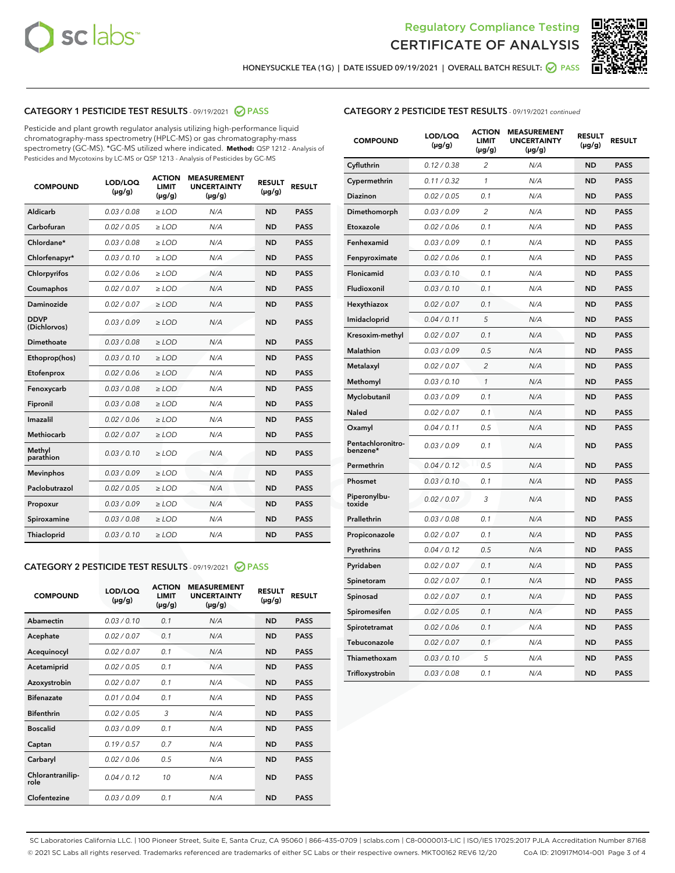



HONEYSUCKLE TEA (1G) | DATE ISSUED 09/19/2021 | OVERALL BATCH RESULT: @ PASS

## CATEGORY 1 PESTICIDE TEST RESULTS - 09/19/2021 @ PASS

Pesticide and plant growth regulator analysis utilizing high-performance liquid chromatography-mass spectrometry (HPLC-MS) or gas chromatography-mass spectrometry (GC-MS). \*GC-MS utilized where indicated. **Method:** QSP 1212 - Analysis of Pesticides and Mycotoxins by LC-MS or QSP 1213 - Analysis of Pesticides by GC-MS

| <b>COMPOUND</b>             | LOD/LOQ<br>$(\mu g/g)$ | <b>ACTION</b><br><b>LIMIT</b><br>$(\mu g/g)$ | <b>MEASUREMENT</b><br><b>UNCERTAINTY</b><br>$(\mu g/g)$ | <b>RESULT</b><br>$(\mu g/g)$ | <b>RESULT</b> |
|-----------------------------|------------------------|----------------------------------------------|---------------------------------------------------------|------------------------------|---------------|
| Aldicarb                    | 0.03/0.08              | $>$ LOD                                      | N/A                                                     | <b>ND</b>                    | <b>PASS</b>   |
| Carbofuran                  | 0.02 / 0.05            | $\ge$ LOD                                    | N/A                                                     | <b>ND</b>                    | <b>PASS</b>   |
| Chlordane*                  | 0.03/0.08              | $>$ LOD                                      | N/A                                                     | <b>ND</b>                    | <b>PASS</b>   |
| Chlorfenapyr*               | 0.03 / 0.10            | $\ge$ LOD                                    | N/A                                                     | <b>ND</b>                    | <b>PASS</b>   |
| Chlorpyrifos                | 0.02 / 0.06            | $\ge$ LOD                                    | N/A                                                     | <b>ND</b>                    | <b>PASS</b>   |
| Coumaphos                   | 0.02 / 0.07            | $\ge$ LOD                                    | N/A                                                     | <b>ND</b>                    | <b>PASS</b>   |
| Daminozide                  | 0.02 / 0.07            | $\ge$ LOD                                    | N/A                                                     | <b>ND</b>                    | <b>PASS</b>   |
| <b>DDVP</b><br>(Dichlorvos) | 0.03/0.09              | $\ge$ LOD                                    | N/A                                                     | <b>ND</b>                    | <b>PASS</b>   |
| <b>Dimethoate</b>           | 0.03/0.08              | $\ge$ LOD                                    | N/A                                                     | <b>ND</b>                    | <b>PASS</b>   |
| Ethoprop(hos)               | 0.03/0.10              | $\ge$ LOD                                    | N/A                                                     | <b>ND</b>                    | <b>PASS</b>   |
| Etofenprox                  | 0.02 / 0.06            | $\ge$ LOD                                    | N/A                                                     | <b>ND</b>                    | <b>PASS</b>   |
| Fenoxycarb                  | 0.03 / 0.08            | $\ge$ LOD                                    | N/A                                                     | <b>ND</b>                    | <b>PASS</b>   |
| Fipronil                    | 0.03/0.08              | $>$ LOD                                      | N/A                                                     | <b>ND</b>                    | <b>PASS</b>   |
| Imazalil                    | 0.02 / 0.06            | $\ge$ LOD                                    | N/A                                                     | <b>ND</b>                    | <b>PASS</b>   |
| Methiocarb                  | 0.02 / 0.07            | $\ge$ LOD                                    | N/A                                                     | <b>ND</b>                    | <b>PASS</b>   |
| Methyl<br>parathion         | 0.03/0.10              | $\ge$ LOD                                    | N/A                                                     | <b>ND</b>                    | <b>PASS</b>   |
| <b>Mevinphos</b>            | 0.03/0.09              | $\ge$ LOD                                    | N/A                                                     | <b>ND</b>                    | <b>PASS</b>   |
| Paclobutrazol               | 0.02 / 0.05            | $>$ LOD                                      | N/A                                                     | <b>ND</b>                    | <b>PASS</b>   |
| Propoxur                    | 0.03/0.09              | $\ge$ LOD                                    | N/A                                                     | <b>ND</b>                    | <b>PASS</b>   |
| Spiroxamine                 | 0.03 / 0.08            | $\ge$ LOD                                    | N/A                                                     | <b>ND</b>                    | <b>PASS</b>   |
| Thiacloprid                 | 0.03/0.10              | $\ge$ LOD                                    | N/A                                                     | <b>ND</b>                    | <b>PASS</b>   |
|                             |                        |                                              |                                                         |                              |               |

#### CATEGORY 2 PESTICIDE TEST RESULTS - 09/19/2021 @ PASS

| <b>COMPOUND</b>          | LOD/LOO<br>$(\mu g/g)$ | <b>ACTION</b><br>LIMIT<br>$(\mu g/g)$ | <b>MEASUREMENT</b><br><b>UNCERTAINTY</b><br>$(\mu g/g)$ | <b>RESULT</b><br>$(\mu g/g)$ | <b>RESULT</b> |
|--------------------------|------------------------|---------------------------------------|---------------------------------------------------------|------------------------------|---------------|
| Abamectin                | 0.03/0.10              | 0.1                                   | N/A                                                     | <b>ND</b>                    | <b>PASS</b>   |
| Acephate                 | 0.02/0.07              | 0.1                                   | N/A                                                     | <b>ND</b>                    | <b>PASS</b>   |
| Acequinocyl              | 0.02/0.07              | 0.1                                   | N/A                                                     | <b>ND</b>                    | <b>PASS</b>   |
| Acetamiprid              | 0.02/0.05              | 0.1                                   | N/A                                                     | <b>ND</b>                    | <b>PASS</b>   |
| Azoxystrobin             | 0.02/0.07              | 0.1                                   | N/A                                                     | <b>ND</b>                    | <b>PASS</b>   |
| <b>Bifenazate</b>        | 0.01/0.04              | 0.1                                   | N/A                                                     | <b>ND</b>                    | <b>PASS</b>   |
| <b>Bifenthrin</b>        | 0.02/0.05              | 3                                     | N/A                                                     | <b>ND</b>                    | <b>PASS</b>   |
| <b>Boscalid</b>          | 0.03/0.09              | 0.1                                   | N/A                                                     | <b>ND</b>                    | <b>PASS</b>   |
| Captan                   | 0.19/0.57              | 0.7                                   | N/A                                                     | <b>ND</b>                    | <b>PASS</b>   |
| Carbaryl                 | 0.02/0.06              | 0.5                                   | N/A                                                     | <b>ND</b>                    | <b>PASS</b>   |
| Chlorantranilip-<br>role | 0.04/0.12              | 10                                    | N/A                                                     | <b>ND</b>                    | <b>PASS</b>   |
| Clofentezine             | 0.03/0.09              | 0.1                                   | N/A                                                     | <b>ND</b>                    | <b>PASS</b>   |

| <b>COMPOUND</b>               | LOD/LOQ<br>(µg/g) | <b>ACTION</b><br><b>LIMIT</b><br>(µg/g) | <b>MEASUREMENT</b><br><b>UNCERTAINTY</b><br>$(\mu g/g)$ | <b>RESULT</b><br>(µg/g) | <b>RESULT</b> |
|-------------------------------|-------------------|-----------------------------------------|---------------------------------------------------------|-------------------------|---------------|
| Cyfluthrin                    | 0.12 / 0.38       | $\overline{c}$                          | N/A                                                     | <b>ND</b>               | <b>PASS</b>   |
| Cypermethrin                  | 0.11 / 0.32       | 1                                       | N/A                                                     | <b>ND</b>               | <b>PASS</b>   |
| <b>Diazinon</b>               | 0.02 / 0.05       | 0.1                                     | N/A                                                     | <b>ND</b>               | <b>PASS</b>   |
| Dimethomorph                  | 0.03 / 0.09       | 2                                       | N/A                                                     | <b>ND</b>               | <b>PASS</b>   |
| Etoxazole                     | 0.02 / 0.06       | 0.1                                     | N/A                                                     | <b>ND</b>               | <b>PASS</b>   |
| Fenhexamid                    | 0.03 / 0.09       | 0.1                                     | N/A                                                     | <b>ND</b>               | <b>PASS</b>   |
| Fenpyroximate                 | 0.02 / 0.06       | 0.1                                     | N/A                                                     | <b>ND</b>               | <b>PASS</b>   |
| Flonicamid                    | 0.03 / 0.10       | 0.1                                     | N/A                                                     | <b>ND</b>               | <b>PASS</b>   |
| Fludioxonil                   | 0.03 / 0.10       | 0.1                                     | N/A                                                     | <b>ND</b>               | <b>PASS</b>   |
| Hexythiazox                   | 0.02 / 0.07       | 0.1                                     | N/A                                                     | <b>ND</b>               | <b>PASS</b>   |
| Imidacloprid                  | 0.04 / 0.11       | 5                                       | N/A                                                     | <b>ND</b>               | <b>PASS</b>   |
| Kresoxim-methyl               | 0.02 / 0.07       | 0.1                                     | N/A                                                     | <b>ND</b>               | <b>PASS</b>   |
| Malathion                     | 0.03 / 0.09       | 0.5                                     | N/A                                                     | <b>ND</b>               | <b>PASS</b>   |
| Metalaxyl                     | 0.02 / 0.07       | $\overline{c}$                          | N/A                                                     | <b>ND</b>               | <b>PASS</b>   |
| Methomyl                      | 0.03 / 0.10       | $\mathcal{I}$                           | N/A                                                     | <b>ND</b>               | <b>PASS</b>   |
| Myclobutanil                  | 0.03 / 0.09       | 0.1                                     | N/A                                                     | <b>ND</b>               | <b>PASS</b>   |
| <b>Naled</b>                  | 0.02 / 0.07       | 0.1                                     | N/A                                                     | <b>ND</b>               | <b>PASS</b>   |
| Oxamyl                        | 0.04 / 0.11       | 0.5                                     | N/A                                                     | <b>ND</b>               | <b>PASS</b>   |
| Pentachloronitro-<br>benzene* | 0.03/0.09         | 0.1                                     | N/A                                                     | <b>ND</b>               | <b>PASS</b>   |
| Permethrin                    | 0.04 / 0.12       | 0.5                                     | N/A                                                     | <b>ND</b>               | <b>PASS</b>   |
| Phosmet                       | 0.03 / 0.10       | 0.1                                     | N/A                                                     | <b>ND</b>               | <b>PASS</b>   |
| Piperonylbu-<br>toxide        | 0.02 / 0.07       | 3                                       | N/A                                                     | <b>ND</b>               | <b>PASS</b>   |
| Prallethrin                   | 0.03 / 0.08       | 0.1                                     | N/A                                                     | <b>ND</b>               | <b>PASS</b>   |
| Propiconazole                 | 0.02 / 0.07       | 0.1                                     | N/A                                                     | <b>ND</b>               | <b>PASS</b>   |
| Pyrethrins                    | 0.04 / 0.12       | 0.5                                     | N/A                                                     | <b>ND</b>               | <b>PASS</b>   |
| Pyridaben                     | 0.02 / 0.07       | 0.1                                     | N/A                                                     | <b>ND</b>               | <b>PASS</b>   |
| Spinetoram                    | 0.02 / 0.07       | 0.1                                     | N/A                                                     | <b>ND</b>               | <b>PASS</b>   |
| Spinosad                      | 0.02 / 0.07       | 0.1                                     | N/A                                                     | <b>ND</b>               | <b>PASS</b>   |
| Spiromesifen                  | 0.02 / 0.05       | 0.1                                     | N/A                                                     | <b>ND</b>               | <b>PASS</b>   |
| Spirotetramat                 | 0.02 / 0.06       | 0.1                                     | N/A                                                     | ND                      | <b>PASS</b>   |
| Tebuconazole                  | 0.02 / 0.07       | 0.1                                     | N/A                                                     | <b>ND</b>               | <b>PASS</b>   |
| Thiamethoxam                  | 0.03 / 0.10       | 5                                       | N/A                                                     | <b>ND</b>               | <b>PASS</b>   |
| Trifloxystrobin               | 0.03 / 0.08       | 0.1                                     | N/A                                                     | <b>ND</b>               | <b>PASS</b>   |

SC Laboratories California LLC. | 100 Pioneer Street, Suite E, Santa Cruz, CA 95060 | 866-435-0709 | sclabs.com | C8-0000013-LIC | ISO/IES 17025:2017 PJLA Accreditation Number 87168 © 2021 SC Labs all rights reserved. Trademarks referenced are trademarks of either SC Labs or their respective owners. MKT00162 REV6 12/20 CoA ID: 210917M014-001 Page 3 of 4